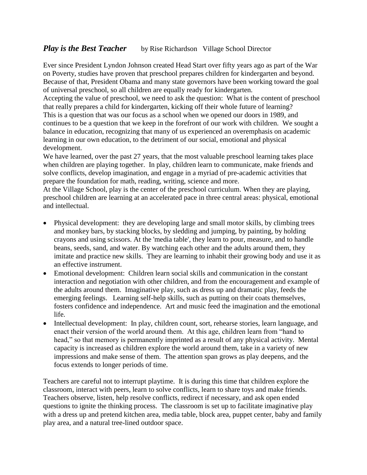## *Play is the Best Teacher* by Rise Richardson Village School Director

Ever since President Lyndon Johnson created Head Start over fifty years ago as part of the War on Poverty, studies have proven that preschool prepares children for kindergarten and beyond. Because of that, President Obama and many state governors have been working toward the goal of universal preschool, so all children are equally ready for kindergarten.

Accepting the value of preschool, we need to ask the question: What is the content of preschool that really prepares a child for kindergarten, kicking off their whole future of learning? This is a question that was our focus as a school when we opened our doors in 1989, and continues to be a question that we keep in the forefront of our work with children. We sought a balance in education, recognizing that many of us experienced an overemphasis on academic learning in our own education, to the detriment of our social, emotional and physical development.

We have learned, over the past 27 years, that the most valuable preschool learning takes place when children are playing together. In play, children learn to communicate, make friends and solve conflicts, develop imagination, and engage in a myriad of pre-academic activities that prepare the foundation for math, reading, writing, science and more.

At the Village School, play is the center of the preschool curriculum. When they are playing, preschool children are learning at an accelerated pace in three central areas: physical, emotional and intellectual.

- Physical development: they are developing large and small motor skills, by climbing trees and monkey bars, by stacking blocks, by sledding and jumping, by painting, by holding crayons and using scissors. At the 'media table', they learn to pour, measure, and to handle beans, seeds, sand, and water. By watching each other and the adults around them, they imitate and practice new skills. They are learning to inhabit their growing body and use it as an effective instrument.
- Emotional development: Children learn social skills and communication in the constant interaction and negotiation with other children, and from the encouragement and example of the adults around them. Imaginative play, such as dress up and dramatic play, feeds the emerging feelings. Learning self-help skills, such as putting on their coats themselves, fosters confidence and independence. Art and music feed the imagination and the emotional life.
- Intellectual development: In play, children count, sort, rehearse stories, learn language, and enact their version of the world around them. At this age, children learn from "hand to head," so that memory is permanently imprinted as a result of any physical activity. Mental capacity is increased as children explore the world around them, take in a variety of new impressions and make sense of them. The attention span grows as play deepens, and the focus extends to longer periods of time.

Teachers are careful not to interrupt playtime. It is during this time that children explore the classroom, interact with peers, learn to solve conflicts, learn to share toys and make friends. Teachers observe, listen, help resolve conflicts, redirect if necessary, and ask open ended questions to ignite the thinking process. The classroom is set up to facilitate imaginative play with a dress up and pretend kitchen area, media table, block area, puppet center, baby and family play area, and a natural tree-lined outdoor space.